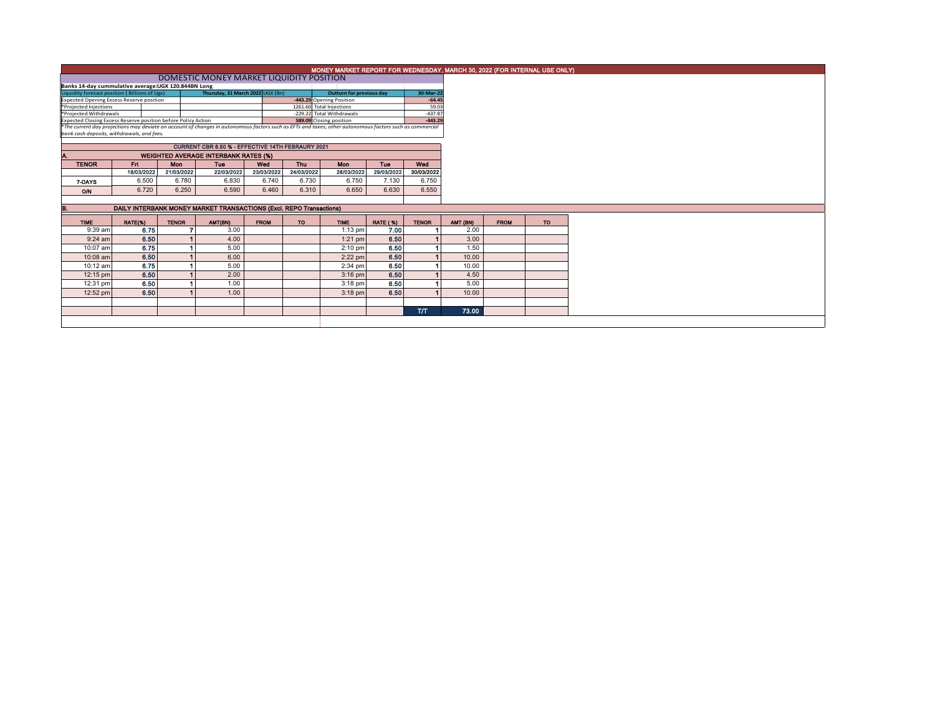|                                                                                                                                                          | MONEY MARKET REPORT FOR WEDNESDAY, MARCH 30, 2022 (FOR INTERNAL USE ONLY) |              |                    |             |            |             |                 |              |           |             |           |  |  |  |
|----------------------------------------------------------------------------------------------------------------------------------------------------------|---------------------------------------------------------------------------|--------------|--------------------|-------------|------------|-------------|-----------------|--------------|-----------|-------------|-----------|--|--|--|
|                                                                                                                                                          | DOMESTIC MONEY MARKET LIQUIDITY POSITION                                  |              |                    |             |            |             |                 |              |           |             |           |  |  |  |
| Banks 14-day cummulative average:UGX 120.844BN Long                                                                                                      |                                                                           |              |                    |             |            |             |                 |              |           |             |           |  |  |  |
| Thursday, 31 March 2022 UGX (Bn)<br>Liquidity forecast position (Billions of Ugx)<br>Outturn for previous day                                            |                                                                           |              |                    |             |            |             |                 |              | 30-Mar-22 |             |           |  |  |  |
| -443.29 Opening Position<br><b>Expected Opening Excess Reserve position</b><br>1261.60 Total Injections                                                  |                                                                           |              |                    |             |            |             |                 |              | $-64.45$  |             |           |  |  |  |
| *Projected Injections                                                                                                                                    |                                                                           |              | 59.03<br>$-437.87$ |             |            |             |                 |              |           |             |           |  |  |  |
| -229.22 Total Withdrawals<br>*Projected Withdrawals<br>Expected Closing Excess Reserve position before Policy Action<br>589.09 Closing position          |                                                                           |              |                    |             |            |             |                 |              |           |             |           |  |  |  |
| *The current day projections may deviate on account of changes in autonomous factors such as EFTs and taxes; other autonomous factors such as commercial |                                                                           |              | $-443.29$          |             |            |             |                 |              |           |             |           |  |  |  |
| bank cash deposits, withdrawals, and fees.                                                                                                               |                                                                           |              |                    |             |            |             |                 |              |           |             |           |  |  |  |
|                                                                                                                                                          |                                                                           |              |                    |             |            |             |                 |              |           |             |           |  |  |  |
|                                                                                                                                                          |                                                                           |              |                    |             |            |             |                 |              |           |             |           |  |  |  |
|                                                                                                                                                          | <b>WEIGHTED AVERAGE INTERBANK RATES (%)</b>                               |              |                    |             |            |             |                 |              |           |             |           |  |  |  |
| <b>TENOR</b>                                                                                                                                             | Fri.                                                                      | <b>Mon</b>   | <b>Tue</b>         | Wed         | <b>Thu</b> | Mon         | Tuo             | Wed          |           |             |           |  |  |  |
|                                                                                                                                                          | 18/03/2022                                                                | 21/03/2022   | 22/03/2022         | 23/03/2022  | 24/03/2022 | 28/03/2022  | 29/03/2022      | 30/03/2022   |           |             |           |  |  |  |
| 7-DAYS                                                                                                                                                   | 6.500                                                                     | 6.780        | 6.830              | 6.740       | 6.730      | 6.750       | 7.130           | 6.750        |           |             |           |  |  |  |
| <b>O/N</b>                                                                                                                                               | 6.720                                                                     | 6.250        | 6.590              | 6.460       | 6.310      | 6.650       | 6.630           | 6.550        |           |             |           |  |  |  |
|                                                                                                                                                          |                                                                           |              |                    |             |            |             |                 |              |           |             |           |  |  |  |
| DAILY INTERBANK MONEY MARKET TRANSACTIONS (Excl. REPO Transactions)                                                                                      |                                                                           |              |                    |             |            |             |                 |              |           |             |           |  |  |  |
| <b>TIME</b>                                                                                                                                              | RATE(%)                                                                   | <b>TENOR</b> | AMT(BN)            | <b>FROM</b> | <b>TO</b>  | <b>TIME</b> | <b>RATE (%)</b> | <b>TENOR</b> | AMT (BN)  | <b>FROM</b> | <b>TO</b> |  |  |  |
| 9:39 am                                                                                                                                                  | 6.75                                                                      |              | 3.00               |             |            | $1:13$ pm   | 7.00            |              | 2.00      |             |           |  |  |  |
| $9:24$ am                                                                                                                                                | 6.50                                                                      |              | 4.00               |             |            | $1:21$ pm   | 6.50            |              | 3.00      |             |           |  |  |  |
| 10:07 am                                                                                                                                                 | 6.75                                                                      |              | 5.00               |             |            | $2:10$ pm   | 6.50            |              | 1.50      |             |           |  |  |  |
|                                                                                                                                                          |                                                                           |              | 6.00               |             |            | $2:22$ pm   | 6.50            |              | 10.00     |             |           |  |  |  |
| 10:08 am                                                                                                                                                 | 6.50                                                                      |              |                    |             |            |             |                 |              | 10.00     |             |           |  |  |  |
| 10:12 am                                                                                                                                                 | 6.75                                                                      |              | 5.00               |             |            | $2:34$ pm   | 6.50            |              |           |             |           |  |  |  |
| 12:15 pm                                                                                                                                                 | 6.50                                                                      |              | 2.00               |             |            | $3:16$ pm   | 6.50            |              | 4.50      |             |           |  |  |  |
| 12:31 pm                                                                                                                                                 | 6.50                                                                      |              | 1.00               |             |            | $3:18$ pm   | 6.50            |              | 5.00      |             |           |  |  |  |
| 12:52 pm                                                                                                                                                 | 6.50                                                                      |              | 1.00               |             |            | $3:18$ pm   | 6.50            |              | 10.00     |             |           |  |  |  |
|                                                                                                                                                          |                                                                           |              |                    |             |            |             |                 |              |           |             |           |  |  |  |
|                                                                                                                                                          |                                                                           |              |                    |             |            |             |                 | <b>T/T</b>   | 73.00     |             |           |  |  |  |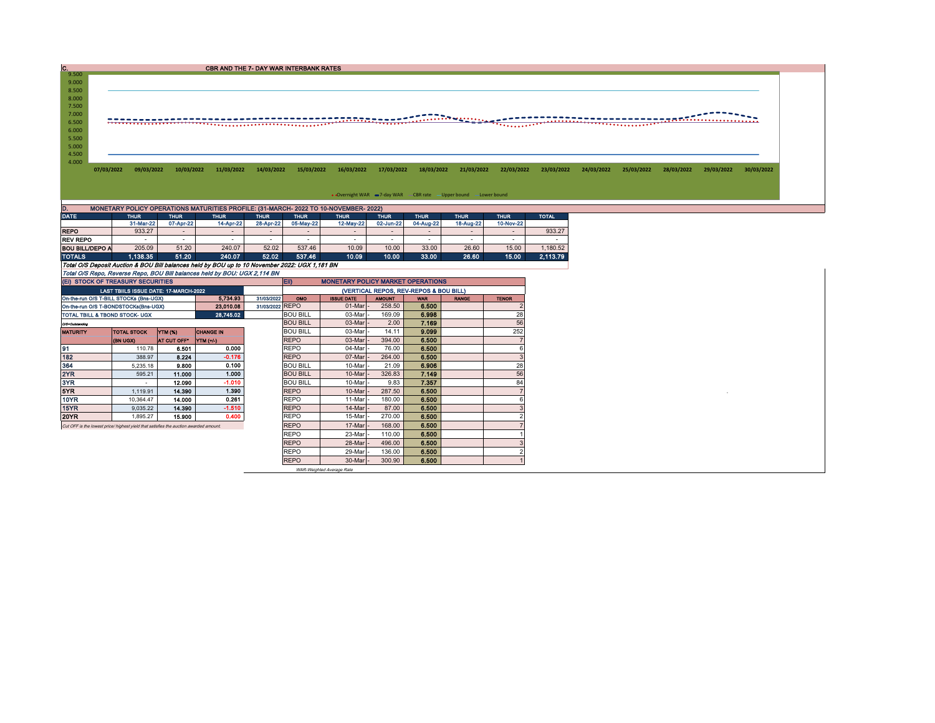| C.    |            |            |                                               |                                   | CBR AND THE 7- DAY WAR INTERBANK RATES                                               |                                  |            |                                  |                                                                                                                                                                                                                                      |                     |                                          |                            |            |            |            |                               |            |
|-------|------------|------------|-----------------------------------------------|-----------------------------------|--------------------------------------------------------------------------------------|----------------------------------|------------|----------------------------------|--------------------------------------------------------------------------------------------------------------------------------------------------------------------------------------------------------------------------------------|---------------------|------------------------------------------|----------------------------|------------|------------|------------|-------------------------------|------------|
| 9.500 |            |            |                                               |                                   |                                                                                      |                                  |            |                                  |                                                                                                                                                                                                                                      |                     |                                          |                            |            |            |            |                               |            |
| 9.000 |            |            |                                               |                                   |                                                                                      |                                  |            |                                  |                                                                                                                                                                                                                                      |                     |                                          |                            |            |            |            |                               |            |
| 8.500 |            |            |                                               |                                   |                                                                                      |                                  |            |                                  |                                                                                                                                                                                                                                      |                     |                                          |                            |            |            |            |                               |            |
| 8.000 |            |            |                                               |                                   |                                                                                      |                                  |            |                                  |                                                                                                                                                                                                                                      |                     |                                          |                            |            |            |            |                               |            |
| 7.500 |            |            |                                               |                                   |                                                                                      |                                  |            |                                  |                                                                                                                                                                                                                                      |                     |                                          |                            |            |            |            |                               |            |
| 7.000 |            |            |                                               |                                   |                                                                                      |                                  |            |                                  |                                                                                                                                                                                                                                      |                     |                                          |                            |            |            |            |                               |            |
| 6.500 |            |            |                                               |                                   |                                                                                      |                                  |            |                                  | <u>THE RESIDENCE OF A PROPERTY OF A PART OF A PART OF A PART OF A PART OF A PART OF A PART OF A PART OF A PART OF A PART OF A PART OF A PART OF A PART OF A PART OF A PART OF A PART OF A PART OF A PART OF A PART OF A PART OF </u> |                     |                                          |                            |            |            |            | _____________________________ |            |
| 6.000 |            |            |                                               |                                   |                                                                                      |                                  |            |                                  |                                                                                                                                                                                                                                      |                     |                                          |                            |            |            |            |                               |            |
| 5.500 |            |            |                                               |                                   |                                                                                      |                                  |            |                                  |                                                                                                                                                                                                                                      |                     |                                          |                            |            |            |            |                               |            |
| 5.000 |            |            |                                               |                                   |                                                                                      |                                  |            |                                  |                                                                                                                                                                                                                                      |                     |                                          |                            |            |            |            |                               |            |
| 4.500 |            |            |                                               |                                   |                                                                                      |                                  |            |                                  |                                                                                                                                                                                                                                      |                     |                                          |                            |            |            |            |                               |            |
| 4.000 |            |            |                                               |                                   |                                                                                      |                                  |            |                                  |                                                                                                                                                                                                                                      |                     |                                          |                            |            |            |            |                               |            |
|       | 07/03/2022 | 09/03/2022 | 10/03/2022                                    | 11/03/2022                        | 14/03/2022                                                                           | 15/03/2022                       | 16/03/2022 | 17/03/2022                       | 18/03/2022                                                                                                                                                                                                                           | 21/03/2022          | 22/03/2022                               | 23/03/2022                 | 24/03/2022 | 25/03/2022 | 28/03/2022 | 29/03/2022                    | 30/03/2022 |
|       |            |            |                                               |                                   |                                                                                      |                                  |            |                                  |                                                                                                                                                                                                                                      |                     |                                          |                            |            |            |            |                               |            |
|       |            |            |                                               |                                   |                                                                                      |                                  |            |                                  |                                                                                                                                                                                                                                      |                     |                                          |                            |            |            |            |                               |            |
|       |            |            |                                               |                                   |                                                                                      |                                  |            |                                  | • Overnight WAR = 7-day WAR CBR rate - Upper bound - Lower bound                                                                                                                                                                     |                     |                                          |                            |            |            |            |                               |            |
|       |            |            |                                               |                                   |                                                                                      |                                  |            |                                  |                                                                                                                                                                                                                                      |                     |                                          |                            |            |            |            |                               |            |
|       |            |            |                                               |                                   | MONETARY POLICY OPERATIONS MATURITIES PROFILE: (31-MARCH- 2022 TO 10-NOVEMBER- 2022) |                                  |            |                                  |                                                                                                                                                                                                                                      |                     |                                          |                            |            |            |            |                               |            |
|       |            |            | <b>Constitution Constitution Constitution</b> | <b>Contract Contract Contract</b> | <b>Constitution</b>                                                                  | <b>Constitution Constitution</b> |            | <b>Constitution Constitution</b> | <b>Constitution Constitution Constitution</b>                                                                                                                                                                                        | <b>Constitution</b> | <b>Constitution</b> and the constitution | <b><i>CONSTRUCTION</i></b> |            |            |            |                               |            |

| DATE                                                                                           | <b>THUR</b> |                          | <b>THUR</b><br><b>THUR</b> |           | <b>THUR</b>              | <b>THUR</b> | <b>THUR</b>              | <b>THUR</b> | <b>THUR</b>              | <b>THUR</b>              | <b>TOTAL</b> |
|------------------------------------------------------------------------------------------------|-------------|--------------------------|----------------------------|-----------|--------------------------|-------------|--------------------------|-------------|--------------------------|--------------------------|--------------|
|                                                                                                | 31-Mar-22   | 07-Apr-22                | 14-Apr-22                  | 28-Apr-22 | 05-May-22                | 12-May-22   | 02-Jun-22                | 04-Aug-22   | 18-Aug-22                | 10-Nov-22                |              |
| <b>REPO</b>                                                                                    | 933.27      | $\overline{\phantom{0}}$ |                            |           | $\overline{\phantom{0}}$ |             | $\overline{\phantom{0}}$ | -           | $\overline{\phantom{0}}$ | $\overline{\phantom{0}}$ | 933.27       |
| <b>REV REPO</b>                                                                                | .           |                          |                            | ۰.        | $\sim$                   | -           | -                        | -           | -                        | . .                      |              |
| <b>BOU BILL/DEPO A</b>                                                                         | 205.09      | 51.20                    | 240.07                     | 52.02     | 537.46                   | 10.09       | 10.00                    | 33.00       | 26.60                    | 15.00                    | .180.52      |
| <b>TOTALS</b>                                                                                  | 1.138.35    | 51.20                    | 240.07                     | 52.02     | 537.46                   | 10.09       | 10.00                    | 33.00       | 26.60                    | 15.00                    | 2.113.79     |
| Total O/S Deposit Auction & BOU Bill balances held by BOU up to 10 November 2022: UGX 1.181 BN |             |                          |                            |           |                          |             |                          |             |                          |                          |              |
| Total O/S Repo, Reverse Repo, BOU Bill balances held by BOU: UGX 2,114 BN                      |             |                          |                            |           |                          |             |                          |             |                          |                          |              |

| (EI) STOCK OF TREASURY SECURITIES                                                    |                                       |                |                  |  | <b>IEID</b><br><b>MONETARY POLICY MARKET OPERATIONS</b> |                     |               |            |              |              |  |  |  |
|--------------------------------------------------------------------------------------|---------------------------------------|----------------|------------------|--|---------------------------------------------------------|---------------------|---------------|------------|--------------|--------------|--|--|--|
|                                                                                      | LAST TBIILS ISSUE DATE: 17-MARCH-2022 |                |                  |  | (VERTICAL REPOS, REV-REPOS & BOU BILL)                  |                     |               |            |              |              |  |  |  |
| 5.734.93<br>31/03/2022<br>On-the-run O/S T-BILL STOCKs (Bns-UGX)                     |                                       |                |                  |  |                                                         | <b>ISSUE DATE</b>   | <b>AMOUNT</b> | <b>WAR</b> | <b>RANGE</b> | <b>TENOR</b> |  |  |  |
| 23.010.08<br>On-the-run O/S T-BONDSTOCKs(Bns-UGX)                                    |                                       |                |                  |  | 31/03/2022 REPO                                         | $01$ -Mar $-$       | 258.50        | 6.500      |              |              |  |  |  |
| 28,745.02<br>TOTAL TBILL & TBOND STOCK- UGX                                          |                                       |                |                  |  | <b>BOU BILL</b>                                         | 03-Mar              | 169.09        | 6.998      |              | 28           |  |  |  |
| O/3=Outstanding                                                                      |                                       |                |                  |  | <b>BOU BILL</b>                                         | 03-Mar              | 2.00          | 7.169      |              | 56           |  |  |  |
| <b>MATURITY</b>                                                                      | <b>TOTAL STOCK</b>                    | <b>YTM (%)</b> | <b>CHANGE IN</b> |  | <b>BOU BILL</b>                                         | 03-Marl-            | 14.11         | 9.099      |              | 252          |  |  |  |
|                                                                                      | <b>(BN UGX)</b>                       | AT CUT OFF"    | YTM (+/-)        |  | <b>REPO</b>                                             | 03-Mar              | 394.00        | 6.500      |              |              |  |  |  |
| 91                                                                                   | 110.78                                | 6.501          | 0.000            |  | <b>REPO</b>                                             | 04-Mar              | 76.00         | 6.500      |              |              |  |  |  |
| 182                                                                                  | 388.97                                | 8.224          | $-0.176$         |  | <b>REPO</b>                                             | 07-Mar              | 264.00        | 6.500      |              |              |  |  |  |
| 364                                                                                  | 5,235.18                              | 9.800          | 0.100            |  | <b>BOU BILL</b>                                         | 10-Mar              | 21.09         | 6.906      |              | 28           |  |  |  |
| 2YR                                                                                  | 595.21                                | 11.000         | 1.000            |  | <b>BOU BILL</b>                                         | $10$ -Mar $\cdot$   | 326.83        | 7.149      |              | 56           |  |  |  |
| 3YR                                                                                  |                                       | 12.090         | $-1.010$         |  | <b>BOU BILL</b>                                         | 10-Mar              | 9.83          | 7.357      |              | 84           |  |  |  |
| 5YR                                                                                  | 1,119.91                              | 14.390         | 1.390            |  | <b>REPO</b>                                             | $10$ -Mar $\vert$ - | 287.50        | 6.500      |              |              |  |  |  |
| 10YR                                                                                 | 10.364.47                             | 14.000         | 0.261            |  | <b>REPO</b>                                             | $11-Mar$            | 180.00        | 6.500      |              |              |  |  |  |
| 15YR                                                                                 | 9.035.22                              | 14.390         | $-1.510$         |  | <b>REPO</b>                                             | 14-Mar              | 87.00         | 6.500      |              |              |  |  |  |
| <b>20YR</b>                                                                          | 1.895.27                              | 15.900         | 0.400            |  | <b>REPO</b>                                             | $15$ -Mar           | 270.00        | 6.500      |              |              |  |  |  |
| Cut OFF is the lowest price/highest vield that satisfies the auction awarded amount. |                                       |                |                  |  | <b>REPO</b>                                             | 17-Mar              | 168,00        | 6.500      |              |              |  |  |  |
|                                                                                      |                                       |                |                  |  | <b>REPO</b>                                             | $23$ -Mar $\cdot$   | 110.00        | 6.500      |              |              |  |  |  |
|                                                                                      |                                       |                |                  |  | <b>REPO</b>                                             | 28-Mar              | 496.00        | 6.500      |              |              |  |  |  |
|                                                                                      |                                       |                |                  |  | <b>REPO</b>                                             | 29-Mar              | 136.00        | 6.500      |              |              |  |  |  |
|                                                                                      |                                       |                |                  |  | <b>REPO</b>                                             | 30-Mar -            | 300.90        | 6.500      |              |              |  |  |  |

WAR-Weighted Average Rate